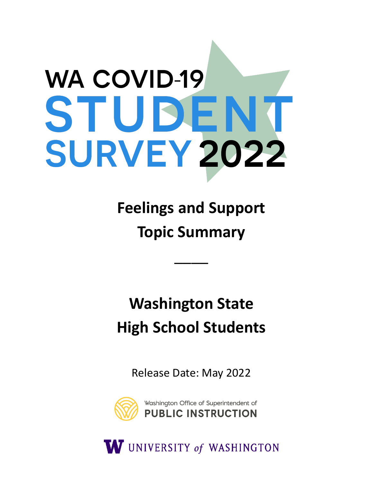# **WA COVID-19** STUDEN **SURVEY 2022**

**Feelings and Support Topic Summary** 

\_\_\_\_

**Washington State High School Students** 

Release Date: May 2022



W UNIVERSITY of WASHINGTON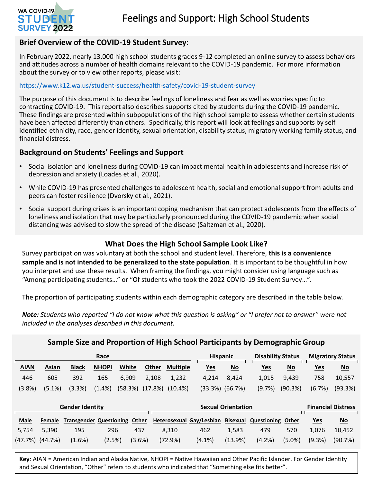

## **Brief Overview of the COVID-19 Student Survey**:

In February 2022, nearly 13,000 high school students grades 9-12 completed an online survey to assess behaviors and attitudes across a number of health domains relevant to the COVID-19 pandemic. For more information about the survey or to view other reports, please visit:

#### <https://www.k12.wa.us/student-success/health-safety/covid-19-student-survey>

The purpose of this document is to describe feelings of loneliness and fear as well as worries specific to contracting COVID-19. This report also describes supports cited by students during the COVID-19 pandemic. These findings are presented within subpopulations of the high school sample to assess whether certain students have been affected differently than others. Specifically, this report will look at feelings and supports by self identified ethnicity, race, gender identity, sexual orientation, disability status, migratory working family status, and financial distress.

### **Background on Students' Feelings and Support**

- Social isolation and loneliness during COVID-19 can impact mental health in adolescents and increase risk of depression and anxiety (Loades et al., 2020).
- While COVID-19 has presented challenges to adolescent health, social and emotional support from adults and peers can foster resilience (Dvorsky et al., 2021).
- Social support during crises is an important coping mechanism that can protect adolescents from the effects of loneliness and isolation that may be particularly pronounced during the COVID-19 pandemic when social distancing was advised to slow the spread of the disease (Saltzman et al., 2020).

## **What Does the High School Sample Look Like?**

Survey participation was voluntary at both the school and student level. Therefore, **this is a convenience sample and is not intended to be generalized to the state population**. It is important to be thoughtful in how you interpret and use these results. When framing the findings, you might consider using language such as "Among participating students…" or "Of students who took the 2022 COVID-19 Student Survey…".

The proportion of participating students within each demographic category are described in the table below.

*Note: Students who reported "I do not know what this question is asking" or "I prefer not to answer" were not included in the analyses described in this document.* 

| Sample Size and Proportion of High School Participants by Demographic Group |           |              |                                |         |         |                 |  |                           |                           |                          |           |                           |                           |
|-----------------------------------------------------------------------------|-----------|--------------|--------------------------------|---------|---------|-----------------|--|---------------------------|---------------------------|--------------------------|-----------|---------------------------|---------------------------|
| Race                                                                        |           |              |                                |         |         |                 |  | <b>Hispanic</b>           |                           | <b>Disability Status</b> |           | <b>Migratory Status</b>   |                           |
| <b>AIAN</b>                                                                 | Asian     | <b>Black</b> | <b>NHOPI</b>                   | White   | Other   | <b>Multiple</b> |  | <u>Yes</u>                | $\underline{\mathsf{No}}$ | <u>Yes</u>               | $No$      | <u>Yes</u>                | $\underline{\mathsf{No}}$ |
| 446                                                                         | 605       | 392          | 165                            | 6,909   | 2,108   | 1,232           |  | 4,214                     | 8,424                     | 1,015                    | 9,439     | 758                       | 10,557                    |
| (3.8%)                                                                      | $(5.1\%)$ | (3.3%)       | $(1.4\%)$                      | (58.3%) | (17.8%) | $(10.4\%)$      |  | $(33.3\%)$ $(66.7\%)$     |                           | (9.7%)                   | (90.3%)   | (6.7%)                    | (93.3%)                   |
|                                                                             |           |              |                                |         |         |                 |  |                           |                           |                          |           |                           |                           |
| <b>Gender Identity</b>                                                      |           |              |                                |         |         |                 |  | <b>Sexual Orientation</b> |                           |                          |           | <b>Financial Distress</b> |                           |
| <b>Male</b>                                                                 | Female    |              | <b>Transgender Questioning</b> | Other   |         |                 |  | Heterosexual Gay/Lesbian  | <b>Bisexual</b>           | <b>Questioning</b>       | Other     | <u>Yes</u>                | $\underline{\mathsf{No}}$ |
| 5,754                                                                       | 5,390     | 195          | 296                            | 437     |         | 8.310           |  | 462                       | 1,583                     | 479                      | 570       | 1,076                     | 10,452                    |
| (47.7%)                                                                     | (44.7%)   | $(1.6\%)$    | (2.5%)                         | (3.6%)  |         | (72.9%)         |  | $(4.1\%)$                 | (13.9%)                   | (4.2%)                   | $(5.0\%)$ | (9.3%)                    | (90.7%)                   |

**Key**: AIAN = American Indian and Alaska Native, NHOPI = Native Hawaiian and Other Pacific Islander. For Gender Identity and Sexual Orientation, "Other" refers to students who indicated that "Something else fits better".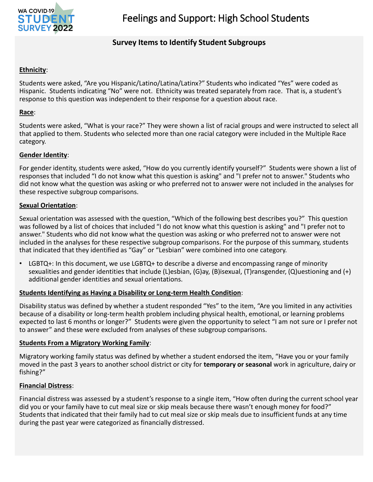

## **Survey Items to Identify Student Subgroups**

#### **Ethnicity**:

Students were asked, "Are you Hispanic/Latino/Latina/Latinx?" Students who indicated "Yes" were coded as Hispanic. Students indicating "No" were not. Ethnicity was treated separately from race. That is, a student's response to this question was independent to their response for a question about race.

#### **Race**:

Students were asked, "What is your race?" They were shown a list of racial groups and were instructed to select all that applied to them. Students who selected more than one racial category were included in the Multiple Race category.

#### **Gender Identity**:

For gender identity, students were asked, "How do you currently identify yourself?" Students were shown a list of responses that included "I do not know what this question is asking" and "I prefer not to answer." Students who did not know what the question was asking or who preferred not to answer were not included in the analyses for these respective subgroup comparisons.

#### **Sexual Orientation**:

Sexual orientation was assessed with the question, "Which of the following best describes you?" This question was followed by a list of choices that included "I do not know what this question is asking" and "I prefer not to answer." Students who did not know what the question was asking or who preferred not to answer were not included in the analyses for these respective subgroup comparisons. For the purpose of this summary, students that indicated that they identified as "Gay" or "Lesbian" were combined into one category.

LGBTQ+: In this document, we use LGBTQ+ to describe a diverse and encompassing range of minority sexualities and gender identities that include (L)esbian, (G)ay, (B)isexual, (T)ransgender, (Q)uestioning and (+) additional gender identities and sexual orientations.

#### **Students Identifying as Having a Disability or Long-term Health Condition**:

Disability status was defined by whether a student responded "Yes" to the item, "Are you limited in any activities because of a disability or long-term health problem including physical health, emotional, or learning problems expected to last 6 months or longer?" Students were given the opportunity to select "I am not sure or I prefer not to answer" and these were excluded from analyses of these subgroup comparisons.

#### **Students From a Migratory Working Family**:

Migratory working family status was defined by whether a student endorsed the item, "Have you or your family moved in the past 3 years to another school district or city for **temporary or seasonal** work in agriculture, dairy or fishing?"

#### **Financial Distress**:

Financial distress was assessed by a student's response to a single item, "How often during the current school year did you or your family have to cut meal size or skip meals because there wasn't enough money for food?" Students that indicated that their family had to cut meal size or skip meals due to insufficient funds at any time during the past year were categorized as financially distressed.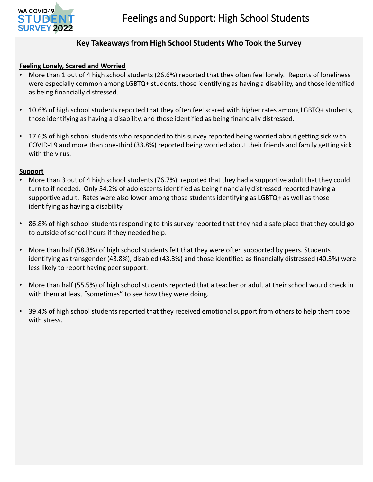

## **Key Takeaways from High School Students Who Took the Survey**

#### **Feeling Lonely, Scared and Worried**

- More than 1 out of 4 high school students (26.6%) reported that they often feel lonely. Reports of loneliness were especially common among LGBTQ+ students, those identifying as having a disability, and those identified as being financially distressed.
- 10.6% of high school students reported that they often feel scared with higher rates among LGBTQ+ students, those identifying as having a disability, and those identified as being financially distressed.
- 17.6% of high school students who responded to this survey reported being worried about getting sick with COVID-19 and more than one-third (33.8%) reported being worried about their friends and family getting sick with the virus.

#### **Support**

- More than 3 out of 4 high school students (76.7%) reported that they had a supportive adult that they could turn to if needed. Only 54.2% of adolescents identified as being financially distressed reported having a supportive adult. Rates were also lower among those students identifying as LGBTQ+ as well as those identifying as having a disability.
- 86.8% of high school students responding to this survey reported that they had a safe place that they could go to outside of school hours if they needed help.
- More than half (58.3%) of high school students felt that they were often supported by peers. Students identifying as transgender (43.8%), disabled (43.3%) and those identified as financially distressed (40.3%) were less likely to report having peer support.
- More than half (55.5%) of high school students reported that a teacher or adult at their school would check in with them at least "sometimes" to see how they were doing.
- 39.4% of high school students reported that they received emotional support from others to help them cope with stress.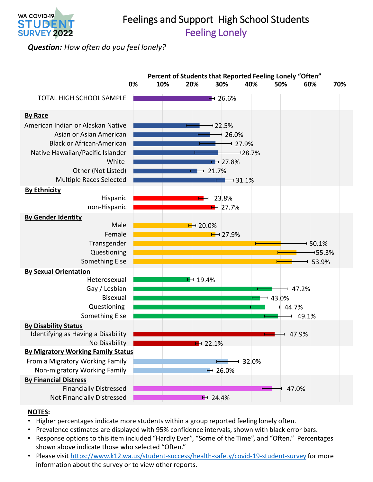

# Feelings and Support High School Students Feeling Lonely

*Question: How often do you feel lonely?*



- Higher percentages indicate more students within a group reported feeling lonely often.
- Prevalence estimates are displayed with 95% confidence intervals, shown with black error bars.
- Response options to this item included "Hardly Ever", "Some of the Time", and "Often." Percentages shown above indicate those who selected "Often."
- Please visit <https://www.k12.wa.us/student-success/health-safety/covid-19-student-survey> for more information about the survey or to view other reports.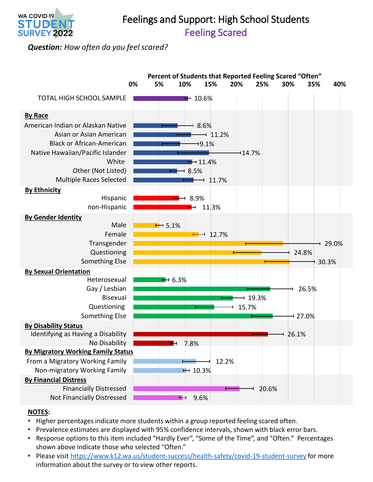

# Feelings and Support: High School Students Feeling Scared

## *Question: How often do you feel scared?*



- Higher percentages indicate more students within a group reported feeling scared often.
- Prevalence estimates are displayed with 95% confidence intervals, shown with black error bars.
- Response options to this item included "Hardly Ever", "Some of the Time", and "Often." Percentages shown above indicate those who selected "Often."
- Please visit <https://www.k12.wa.us/student-success/health-safety/covid-19-student-survey> for more information about the survey or to view other reports.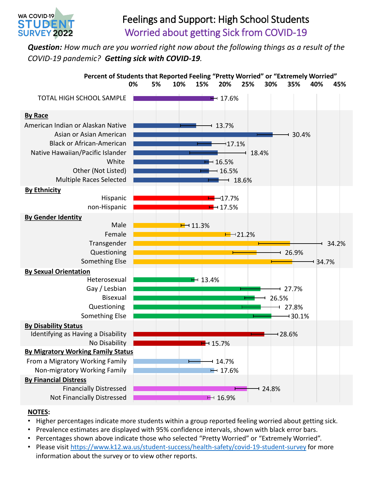

# Feelings and Support: High School Students Worried about getting Sick from COVID-19

*Question: How much are you worried right now about the following things as a result of the COVID-19 pandemic? Getting sick with COVID-19.*



- Higher percentages indicate more students within a group reported feeling worried about getting sick.
- Prevalence estimates are displayed with 95% confidence intervals, shown with black error bars.
- Percentages shown above indicate those who selected "Pretty Worried" or "Extremely Worried".
- Please visit <https://www.k12.wa.us/student-success/health-safety/covid-19-student-survey> for more information about the survey or to view other reports.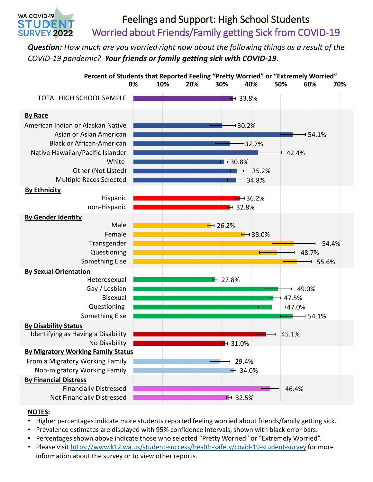# Feelings and Support: High School Students Worried about Friends/Family getting Sick from COVID-19

*Question: How much are you worried right now about the following things as a result of the COVID-19 pandemic? Your friends or family getting sick with COVID-19.*



#### **NOTES:**

WA COVID-19 STUDEI **SURVEY 2022** 

- Higher percentages indicate more students reported feeling worried about friends/family getting sick.
- Prevalence estimates are displayed with 95% confidence intervals, shown with black error bars.
- Percentages shown above indicate those who selected "Pretty Worried" or "Extremely Worried".
- Please visit <https://www.k12.wa.us/student-success/health-safety/covid-19-student-survey> for more information about the survey or to view other reports.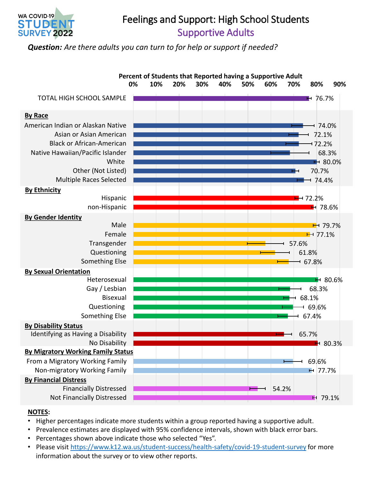

# Feelings and Support: High School Students Supportive Adults

*Question: Are there adults you can turn to for help or support if needed?*



- Higher percentages indicate more students within a group reported having a supportive adult.
- Prevalence estimates are displayed with 95% confidence intervals, shown with black error bars.
- Percentages shown above indicate those who selected "Yes".
- Please visit <https://www.k12.wa.us/student-success/health-safety/covid-19-student-survey> for more information about the survey or to view other reports.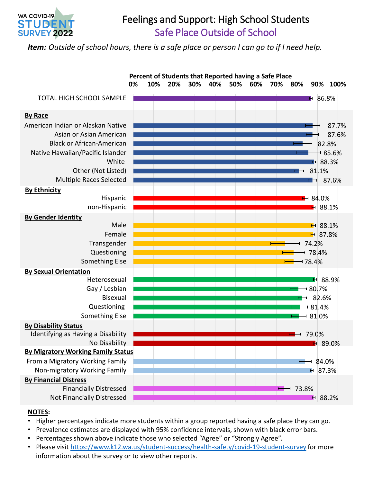

# Feelings and Support: High School Students Safe Place Outside of School

*Item: Outside of school hours, there is a safe place or person I can go to if I need help.*



- Higher percentages indicate more students within a group reported having a safe place they can go.
- Prevalence estimates are displayed with 95% confidence intervals, shown with black error bars.
- Percentages shown above indicate those who selected "Agree" or "Strongly Agree".
- Please visit <https://www.k12.wa.us/student-success/health-safety/covid-19-student-survey> for more information about the survey or to view other reports.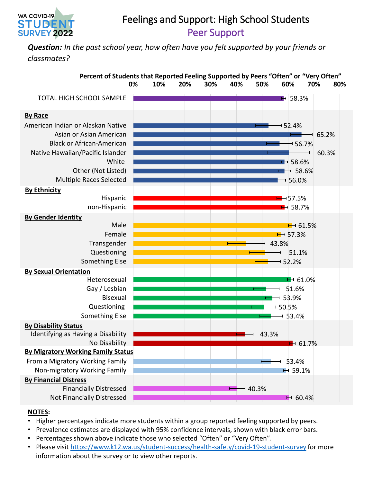

# Feelings and Support: High School Students Peer Support

*Question: In the past school year, how often have you felt supported by your friends or classmates?*



- Higher percentages indicate more students within a group reported feeling supported by peers.
- Prevalence estimates are displayed with 95% confidence intervals, shown with black error bars.
- Percentages shown above indicate those who selected "Often" or "Very Often".
- Please visit <https://www.k12.wa.us/student-success/health-safety/covid-19-student-survey> for more information about the survey or to view other reports.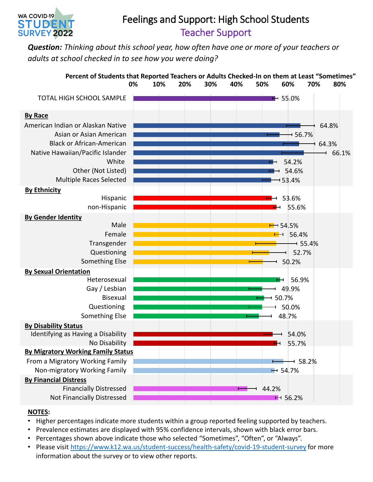

# Feelings and Support: High School Students Teacher Support

*Question: Thinking about this school year, how often have one or more of your teachers or adults at school checked in to see how you were doing?*



- Higher percentages indicate more students within a group reported feeling supported by teachers.
- Prevalence estimates are displayed with 95% confidence intervals, shown with black error bars.
- Percentages shown above indicate those who selected "Sometimes", "Often", or "Always".
- Please visit <https://www.k12.wa.us/student-success/health-safety/covid-19-student-survey> for more information about the survey or to view other reports.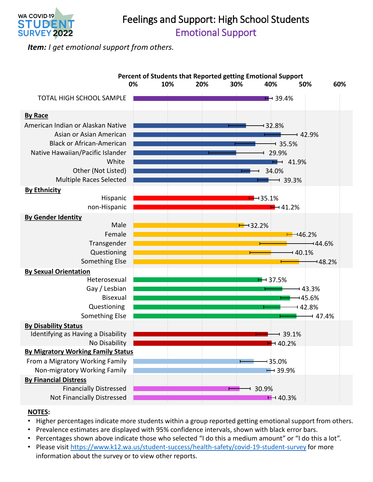

# Feelings and Support: High School Students Emotional Support

*Item: I get emotional support from others.*



- Higher percentages indicate more students within a group reported getting emotional support from others.
- Prevalence estimates are displayed with 95% confidence intervals, shown with black error bars.
- Percentages shown above indicate those who selected "I do this a medium amount" or "I do this a lot".
- Please visit <https://www.k12.wa.us/student-success/health-safety/covid-19-student-survey> for more information about the survey or to view other reports.